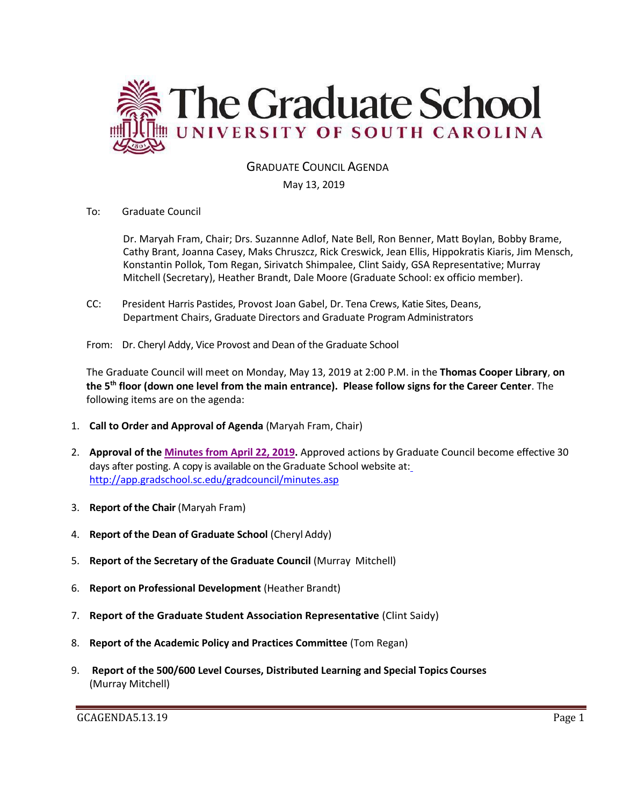

# GRADUATE COUNCIL AGENDA

#### May 13, 2019

To: Graduate Council

Dr. Maryah Fram, Chair; Drs. Suzannne Adlof, Nate Bell, Ron Benner, Matt Boylan, Bobby Brame, Cathy Brant, Joanna Casey, Maks Chruszcz, Rick Creswick, Jean Ellis, Hippokratis Kiaris, Jim Mensch, Konstantin Pollok, Tom Regan, Sirivatch Shimpalee, Clint Saidy, GSA Representative; Murray Mitchell (Secretary), Heather Brandt, Dale Moore (Graduate School: ex officio member).

- CC: President Harris Pastides, Provost Joan Gabel, Dr. Tena Crews, Katie Sites, Deans, Department Chairs, Graduate Directors and Graduate Program Administrators
- From: Dr. Cheryl Addy, Vice Provost and Dean of the Graduate School

The Graduate Council will meet on Monday, May 13, 2019 at 2:00 P.M. in the **Thomas Cooper Library**, **on the 5th floor (down one level from the main entrance). Please follow signs for the Career Center**. The following items are on the agenda:

- 1. **Call to Order and Approval of Agenda** (Maryah Fram, Chair)
- 2. **Approval of the [Minutes from April](GCMINSAPR222019MM.pdf) 22, 2019.** Approved actions by Graduate Council become effective 30 days after posting. A copy is available on the Graduate School website at[:](http://app.gradschool.sc.edu/gradcouncil/minutes.asp) <http://app.gradschool.sc.edu/gradcouncil/minutes.asp>
- 3. **Report of the Chair** (Maryah Fram)
- 4. **Report of the Dean of Graduate School** (Cheryl Addy)
- 5. **Report of the Secretary of the Graduate Council** (Murray Mitchell)
- 6. **Report on Professional Development** (Heather Brandt)
- 7. **Report of the Graduate Student Association Representative** (Clint Saidy)
- 8. **Report of the Academic Policy and Practices Committee** (Tom Regan)
- 9. **Report of the 500/600 Level Courses, Distributed Learning and Special Topics Courses** (Murray Mitchell)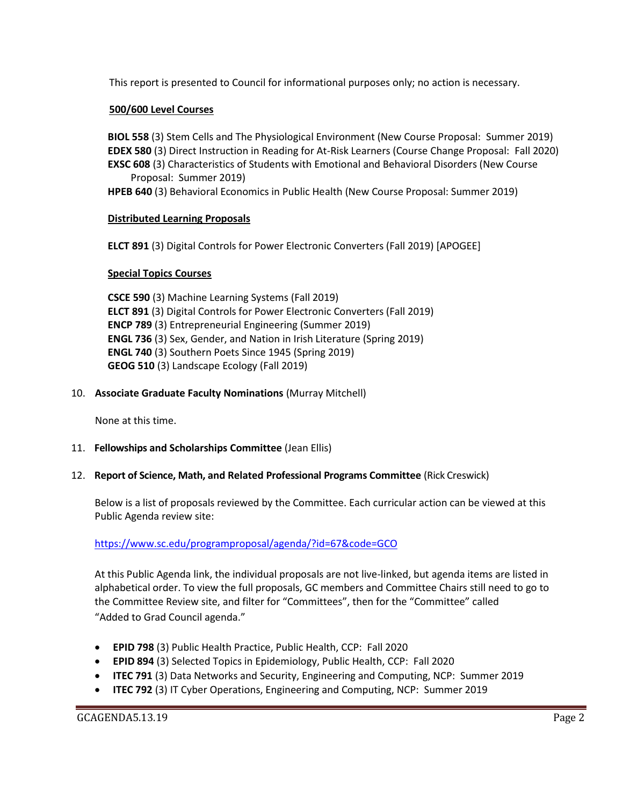This report is presented to Council for informational purposes only; no action is necessary.

### **500/600 Level Courses**

**BIOL 558** (3) Stem Cells and The Physiological Environment (New Course Proposal: Summer 2019) **EDEX 580** (3) Direct Instruction in Reading for At-Risk Learners (Course Change Proposal: Fall 2020) **EXSC 608** (3) Characteristics of Students with Emotional and Behavioral Disorders (New Course Proposal: Summer 2019)

**HPEB 640** (3) Behavioral Economics in Public Health (New Course Proposal: Summer 2019)

#### **Distributed Learning Proposals**

**ELCT 891** (3) Digital Controls for Power Electronic Converters (Fall 2019) [APOGEE]

#### **Special Topics Courses**

**CSCE 590** (3) Machine Learning Systems (Fall 2019) **ELCT 891** (3) Digital Controls for Power Electronic Converters (Fall 2019) **ENCP 789** (3) Entrepreneurial Engineering (Summer 2019) **ENGL 736** (3) Sex, Gender, and Nation in Irish Literature (Spring 2019) **ENGL 740** (3) Southern Poets Since 1945 (Spring 2019) **GEOG 510** (3) Landscape Ecology (Fall 2019)

#### 10. **Associate Graduate Faculty Nominations** (Murray Mitchell)

None at this time.

#### 11. **Fellowships and Scholarships Committee** (Jean Ellis)

#### 12. **Report of Science, Math, and Related Professional Programs Committee** (Rick Creswick)

Below is a list of proposals reviewed by the Committee. Each curricular action can be viewed at this Public Agenda review site:

#### <https://www.sc.edu/programproposal/agenda/?id=67&code=GCO>

At this Public Agenda link, the individual proposals are not live-linked, but agenda items are listed in alphabetical order. To view the full proposals, GC members and Committee Chairs still need to go to the Committee Review site, and filter for "Committees", then for the "Committee" called "Added to Grad Council agenda."

- **EPID 798** (3) Public Health Practice, Public Health, CCP: Fall 2020
- **EPID 894** (3) Selected Topics in Epidemiology, Public Health, CCP: Fall 2020
- **ITEC 791** (3) Data Networks and Security, Engineering and Computing, NCP: Summer 2019
- **ITEC 792** (3) IT Cyber Operations, Engineering and Computing, NCP: Summer 2019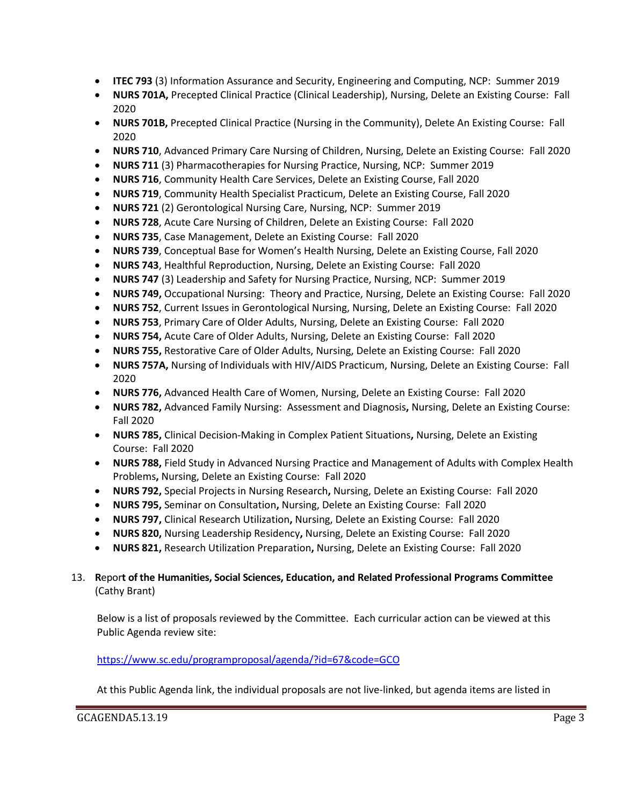- **ITEC 793** (3) Information Assurance and Security, Engineering and Computing, NCP: Summer 2019
- **NURS 701A,** Precepted Clinical Practice (Clinical Leadership), Nursing, Delete an Existing Course: Fall 2020
- **NURS 701B,** Precepted Clinical Practice (Nursing in the Community), Delete An Existing Course: Fall 2020
- **NURS 710**, Advanced Primary Care Nursing of Children, Nursing, Delete an Existing Course: Fall 2020
- **NURS 711** (3) Pharmacotherapies for Nursing Practice, Nursing, NCP: Summer 2019
- **NURS 716**, Community Health Care Services, Delete an Existing Course, Fall 2020
- **NURS 719**, Community Health Specialist Practicum, Delete an Existing Course, Fall 2020
- **NURS 721** (2) Gerontological Nursing Care, Nursing, NCP: Summer 2019
- **NURS 728**, Acute Care Nursing of Children, Delete an Existing Course: Fall 2020
- **NURS 735**, Case Management, Delete an Existing Course: Fall 2020
- **NURS 739**, Conceptual Base for Women's Health Nursing, Delete an Existing Course, Fall 2020
- **NURS 743**, Healthful Reproduction, Nursing, Delete an Existing Course: Fall 2020
- **NURS 747** (3) Leadership and Safety for Nursing Practice, Nursing, NCP: Summer 2019
- **NURS 749,** Occupational Nursing: Theory and Practice, Nursing, Delete an Existing Course: Fall 2020
- **NURS 752**, Current Issues in Gerontological Nursing, Nursing, Delete an Existing Course: Fall 2020
- **NURS 753**, Primary Care of Older Adults, Nursing, Delete an Existing Course: Fall 2020
- **NURS 754,** Acute Care of Older Adults, Nursing, Delete an Existing Course: Fall 2020
- **NURS 755,** Restorative Care of Older Adults, Nursing, Delete an Existing Course: Fall 2020
- **NURS 757A,** Nursing of Individuals with HIV/AIDS Practicum, Nursing, Delete an Existing Course: Fall 2020
- **NURS 776,** Advanced Health Care of Women, Nursing, Delete an Existing Course: Fall 2020
- **NURS 782,** Advanced Family Nursing: Assessment and Diagnosis**,** Nursing, Delete an Existing Course: Fall 2020
- **NURS 785,** Clinical Decision-Making in Complex Patient Situations**,** Nursing, Delete an Existing Course: Fall 2020
- **NURS 788,** Field Study in Advanced Nursing Practice and Management of Adults with Complex Health Problems**,** Nursing, Delete an Existing Course: Fall 2020
- **NURS 792,** Special Projects in Nursing Research**,** Nursing, Delete an Existing Course: Fall 2020
- **NURS 795,** Seminar on Consultation**,** Nursing, Delete an Existing Course: Fall 2020
- **NURS 797,** Clinical Research Utilization**,** Nursing, Delete an Existing Course: Fall 2020
- **NURS 820,** Nursing Leadership Residency**,** Nursing, Delete an Existing Course: Fall 2020
- **NURS 821,** Research Utilization Preparation**,** Nursing, Delete an Existing Course: Fall 2020

# 13. **R**epor**t of the Humanities, Social Sciences, Education, and Related Professional Programs Committee**  (Cathy Brant)

Below is a list of proposals reviewed by the Committee. Each curricular action can be viewed at this Public Agenda review site:

### <https://www.sc.edu/programproposal/agenda/?id=67&code=GCO>

At this Public Agenda link, the individual proposals are not live-linked, but agenda items are listed in